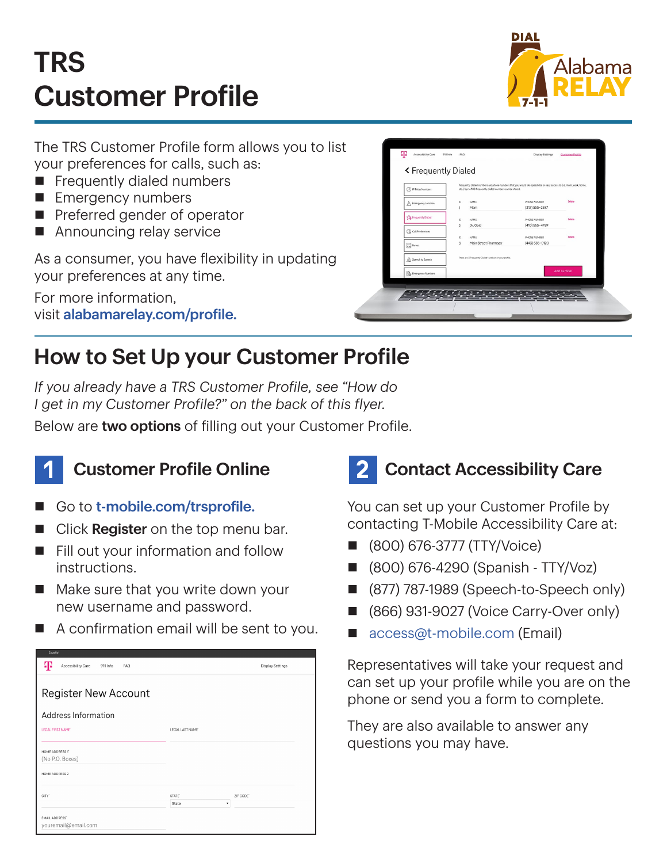# TRS Customer Profile



The TRS Customer Profile form allows you to list your preferences for calls, such as:

- $\blacksquare$  Frequently dialed numbers
- **Emergency numbers**
- $\blacksquare$  Preferred gender of operator
- $\blacksquare$  Announcing relay service

As a consumer, you have flexibility in updating your preferences at any time.

For more information, visit [alabamarelay.com/profile](http://alabamarelay.com/profile).

| < Frequently Dialed         |                                                                                                                                                                                  |                                  |               |
|-----------------------------|----------------------------------------------------------------------------------------------------------------------------------------------------------------------------------|----------------------------------|---------------|
| (1) IP Relay Numbers        | Frequently dialed numbers are phone numbers that you would like speed dial or easy access to (i.e. mom, work, home,<br>etc.). Up to 100 frequently dialed numbers can be stored. |                                  |               |
| A Emergency Location        | 10<br>NAME<br>1<br>Mom                                                                                                                                                           | PHONE NUMBER<br>$(312)$ 555-2587 | Delete        |
| The Frequently Dialect      | NAME<br>10<br>$\overline{2}$<br>Dr. Gold                                                                                                                                         | PHONE NUMBER<br>(410) 555-4789   | Delete        |
| Call Preferences            | 10<br>NAME                                                                                                                                                                       | PHONE NUMBER                     | <b>Oelete</b> |
| $\boxed{\frac{1}{2}}$ Notes | 3<br>Main Street Pharmacy                                                                                                                                                        | (443) 555-0120                   |               |
| Speech to Speech            | There are 3 Frequently Dialed Numbers in your profile.                                                                                                                           |                                  |               |
| <b>Do</b> Emergency Numbers |                                                                                                                                                                                  |                                  | Add number    |

### How to Set Up your Customer Profile

*If you already have a TRS Customer Profile, see "How do I get in my Customer Profile?" on the back of this flyer.*

Below are two options of filling out your Customer Profile.



#### **Customer Profile Online**

- Go to [t-mobile.com/trsprofile.](http://t-mobile.com/trsprofile)
- Click Register on the top menu bar.
- $\blacksquare$  Fill out your information and follow instructions.
- $\blacksquare$  Make sure that you write down your new username and password.
- $\blacksquare$  A confirmation email will be sent to you.

| copairon                                          |                    |                         |
|---------------------------------------------------|--------------------|-------------------------|
| ሞ<br>Accessibility Care<br>911 Info<br><b>FAQ</b> |                    | <b>Display Settings</b> |
|                                                   |                    |                         |
| <b>Register New Account</b>                       |                    |                         |
| Address Information                               |                    |                         |
| LEGAL FIRST NAME'                                 | LEGAL LAST NAME'   |                         |
|                                                   |                    |                         |
| HOME ADDRESS 1"                                   |                    |                         |
| (No P.O. Boxes)                                   |                    |                         |
| HOME ADDRESS 2                                    |                    |                         |
| CITY <sup>*</sup>                                 | STATE <sup>®</sup> | ZIP CODE'               |
|                                                   | ٠<br>State         |                         |
| <b>EMAIL ADDRESS®</b><br>youremail@email.com      |                    |                         |

## 2 Contact Accessibility Care

You can set up your Customer Profile by contacting T-Mobile Accessibility Care at:

- n (800) 676-3777 (TTY/Voice)
- n (800) 676-4290 (Spanish TTY/Voz)
- (877) 787-1989 (Speech-to-Speech only)
- (866) 931-9027 (Voice Carry-Over only)
- [access@t-mobile.com](mailto:access%40t-mobile.com?subject=) (Email)

Representatives will take your request and can set up your profile while you are on the phone or send you a form to complete.

They are also available to answer any questions you may have.